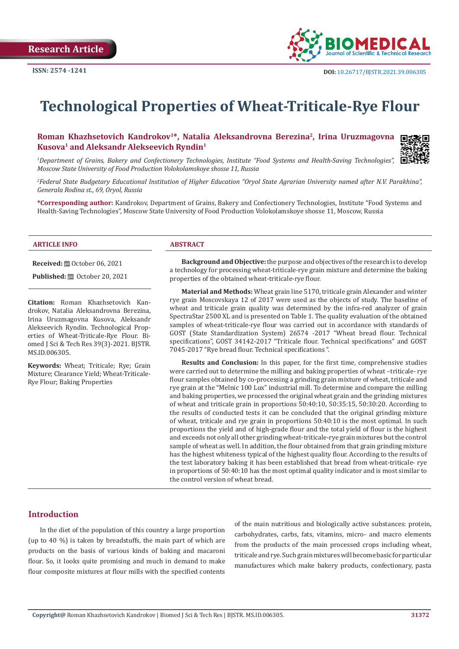

# **Technological Properties of Wheat-Triticale-Rye Flour**

### Roman Khazhsetovich Kandrokov<sup>1\*</sup>, Natalia Aleksandrovna Berezina<sup>2</sup>, Irina Uruzmagovna **Kusova1 and Aleksandr Alekseevich Ryndin1**



*1 Department of Grains, Bakery and Confectionery Technologies, Institute "Food Systems and Health-Saving Technologies", Moscow State University of Food Production Volokolamskoye shosse 11, Russia*

*2 Federal State Budgetary Educational Institution of Higher Education "Oryol State Agrarian University named after N.V. Parakhina", Generala Rodina st., 69, Oryol, Russia*

**\*Corresponding author:** Kandrokov, Department of Grains, Bakery and Confectionery Technologies, Institute "Food Systems and Health-Saving Technologies", Moscow State University of Food Production Volokolamskoye shosse 11, Moscow, Russia

#### **ARTICLE INFO ABSTRACT**

**Received:** ■ October 06, 2021

**Published:** @ October 20, 2021

**Citation:** Roman Khazhsetovich Kandrokov, Natalia Aleksandrovna Berezina, Irina Uruzmagovna Kusova, Aleksandr Alekseevich Ryndin. Technological Properties of Wheat-Triticale-Rye Flour. Biomed J Sci & Tech Res 39(3)-2021. BJSTR. MS.ID.006305.

**Keywords:** Wheat; Triticale; Rye; Grain Mixture; Clearance Yield; Wheat-Triticale-Rye Flour; Baking Properties

**Background and Objective:** the purpose and objectives of the research is to develop a technology for processing wheat-triticale-rye grain mixture and determine the baking properties of the obtained wheat-triticale-rye flour.

**Material and Methods:** Wheat grain line 5170, triticale grain Alexander and winter rye grain Moscovskaya 12 of 2017 were used as the objects of study. The baseline of wheat and triticale grain quality was determined by the infra-red analyzer of grain SpectraStar 2500 XL and is presented on Table 1. The quality evaluation of the obtained samples of wheat-triticale-rye flour was carried out in accordance with standards of GOST (State Standardization System) 26574 -2017 "Wheat bread flour. Technical specifications", GOST 34142-2017 "Triticale flour. Technical specifications" and GOST 7045-2017 "Rye bread flour. Technical specifications ".

**Results and Conclusion:** In this paper, for the first time, comprehensive studies were carried out to determine the milling and baking properties of wheat –triticale- rye flour samples obtained by co-processing a grinding grain mixture of wheat, triticale and rye grain at the "Melnic 100 Lux" industrial mill. To determine and compare the milling and baking properties, we processed the original wheat grain and the grinding mixtures of wheat and triticale grain in proportions 50:40:10, 50:35:15, 50:30:20. According to the results of conducted tests it can be concluded that the original grinding mixture of wheat, triticale and rye grain in proportions 50:40:10 is the most optimal. In such proportions the yield and of high-grade flour and the total yield of flour is the highest and exceeds not only all other grinding wheat-triticale-rye grain mixtures but the control sample of wheat as well. In addition, the flour obtained from that grain grinding mixture has the highest whiteness typical of the highest quality flour. According to the results of the test laboratory baking it has been established that bread from wheat-triticale- rye in proportions of 50:40:10 has the most optimal quality indicator and is most similar to the control version of wheat bread.

#### **Introduction**

In the diet of the population of this country a large proportion (up to 40 %) is taken by breadstuffs, the main part of which are products on the basis of various kinds of baking and macaroni flour. So, it looks quite promising and much in demand to make flour composite mixtures at flour mills with the specified contents of the main nutritious and biologically active substances: protein, carbohydrates, carbs, fats, vitamins, micro- and macro elements from the products of the main processed crops including wheat, triticale and rye. Such grain mixtures will become basic for particular manufactures which make bakery products, confectionary, pasta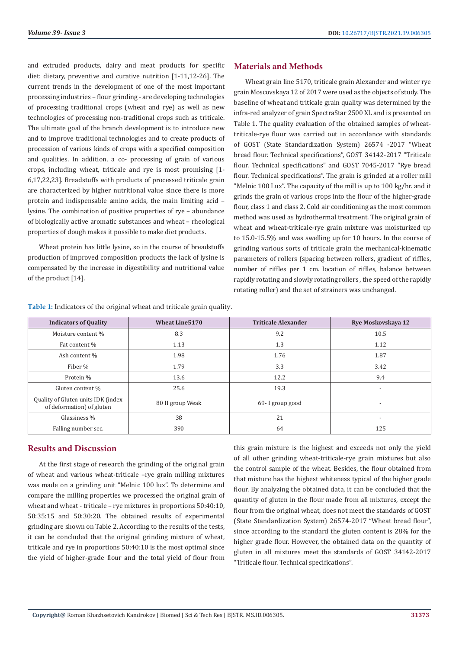and extruded products, dairy and meat products for specific diet: dietary, preventive and curative nutrition [1-11,12-26]. The current trends in the development of one of the most important processing industries – flour grinding - are developing technologies of processing traditional crops (wheat and rye) as well as new technologies of processing non-traditional crops such as triticale. The ultimate goal of the branch development is to introduce new and to improve traditional technologies and to create products of procession of various kinds of crops with a specified composition and qualities. In addition, a co- processing of grain of various crops, including wheat, triticale and rye is most promising [1- 6,17,22,23]. Breadstuffs with products of processed triticale grain are characterized by higher nutritional value since there is more protein and indispensable amino acids, the main limiting acid – lysine. The combination of positive properties of rye – abundance of biologically active aromatic substances and wheat – rheological properties of dough makes it possible to make diet products.

Wheat protein has little lysine, so in the course of breadstuffs production of improved composition products the lack of lysine is compensated by the increase in digestibility and nutritional value of the product [14].

# **Materials and Methods**

Wheat grain line 5170, triticale grain Alexander and winter rye grain Moscovskaya 12 of 2017 were used as the objects of study. The baseline of wheat and triticale grain quality was determined by the infra-red analyzer of grain SpectraStar 2500 XL and is presented on Table 1. The quality evaluation of the obtained samples of wheattriticale-rye flour was carried out in accordance with standards of GOST (State Standardization System) 26574 -2017 "Wheat bread flour. Technical specifications", GOST 34142-2017 "Triticale flour. Technical specifications" and GOST 7045-2017 "Rye bread flour. Technical specifications". The grain is grinded at a roller mill "Melnic 100 Lux". The capacity of the mill is up to 100 kg/hr. and it grinds the grain of various crops into the flour of the higher-grade flour, class 1 and class 2. Cold air conditioning as the most common method was used as hydrothermal treatment. The original grain of wheat and wheat-triticale-rye grain mixture was moisturized up to 15.0-15.5% and was swelling up for 10 hours. In the course of grinding various sorts of triticale grain the mechanical-kinematic parameters of rollers (spacing between rollers, gradient of riffles, number of riffles per 1 cm. location of riffles, balance between rapidly rotating and slowly rotating rollers , the speed of the rapidly rotating roller) and the set of strainers was unchanged.

| <b>Indicators of Quality</b>                                    | <b>Wheat Line5170</b> | <b>Triticale Alexander</b> | <b>Rye Moskovskaya 12</b> |
|-----------------------------------------------------------------|-----------------------|----------------------------|---------------------------|
| Moisture content %                                              | 8.3                   | 9.2                        | 10.5                      |
| Fat content %                                                   | 1.13                  | 1.3                        | 1.12                      |
| Ash content %                                                   | 1.98                  | 1.76                       | 1.87                      |
| Fiber %                                                         | 1.79                  | 3.3                        | 3.42                      |
| Protein %                                                       | 13.6                  | 12.2                       | 9.4                       |
| Gluten content %                                                | 25.6                  | 19.3                       | $\overline{\phantom{a}}$  |
| Quality of Gluten units IDK (index<br>of deformation) of gluten | 80 II group Weak      | 69-I group good            | $\overline{\phantom{a}}$  |
| Glassiness %                                                    | 38                    | 21                         | $\overline{\phantom{a}}$  |
| Falling number sec.                                             | 390                   | 64                         | 125                       |

**Table 1:** Indicators of the original wheat and triticale grain quality.

# **Results and Discussion**

At the first stage of research the grinding of the original grain of wheat and various wheat-triticale –rye grain milling mixtures was made on a grinding unit "Melnic 100 lux". To determine and compare the milling properties we processed the original grain of wheat and wheat - triticale – rye mixtures in proportions 50:40:10, 50:35:15 and 50:30:20. The obtained results of experimental grinding are shown on Table 2. According to the results of the tests, it can be concluded that the original grinding mixture of wheat, triticale and rye in proportions 50:40:10 is the most optimal since the yield of higher-grade flour and the total yield of flour from

this grain mixture is the highest and exceeds not only the yield of all other grinding wheat-triticale-rye grain mixtures but also the control sample of the wheat. Besides, the flour obtained from that mixture has the highest whiteness typical of the higher grade flour. By analyzing the obtained data, it can be concluded that the quantity of gluten in the flour made from all mixtures, except the flour from the original wheat, does not meet the standards of GOST (State Standardization System) 26574-2017 "Wheat bread flour", since according to the standard the gluten content is 28% for the higher grade flour. However, the obtained data on the quantity of gluten in all mixtures meet the standards of GOST 34142-2017 "Triticale flour. Technical specifications".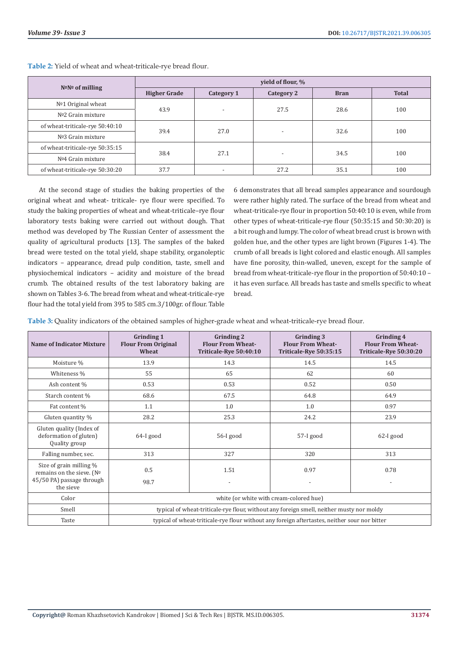| $N^{\circ}N^{\circ}$ of milling | yield of flour, %   |                          |                          |             |              |  |
|---------------------------------|---------------------|--------------------------|--------------------------|-------------|--------------|--|
|                                 | <b>Higher Grade</b> | Category 1               | Category 2               | <b>Bran</b> | <b>Total</b> |  |
| $No1$ Original wheat            | 43.9                | $\overline{\phantom{a}}$ | 27.5                     | 28.6        | 100          |  |
| $No2$ Grain mixture             |                     |                          |                          |             |              |  |
| of wheat-triticale-rye 50:40:10 | 39.4                | 27.0                     | $\overline{\phantom{0}}$ | 32.6        | 100          |  |
| $N03$ Grain mixture             |                     |                          |                          |             |              |  |
| of wheat-triticale-rye 50:35:15 |                     | 27.1                     | $\overline{\phantom{a}}$ | 34.5        | 100          |  |
| Nº4 Grain mixture               | 38.4                |                          |                          |             |              |  |
| of wheat-triticale-rye 50:30:20 | 37.7                | $\overline{\phantom{a}}$ | 27.2                     | 35.1        | 100          |  |

**Table 2:** Yield of wheat and wheat-triticale-rye bread flour.

At the second stage of studies the baking properties of the original wheat and wheat- triticale- rye flour were specified. To study the baking properties of wheat and wheat-triticale–rye flour laboratory tests baking were carried out without dough. That method was developed by The Russian Center of assessment the quality of agricultural products [13]. The samples of the baked bread were tested on the total yield, shape stability, organoleptic indicators – appearance, dread pulp condition, taste, smell and physiochemical indicators – acidity and moisture of the bread crumb. The obtained results of the test laboratory baking are shown on Tables 3-6. The bread from wheat and wheat-triticale-rye flour had the total yield from 395 to 585 cm.3/100gr. of flour. Table

6 demonstrates that all bread samples appearance and sourdough were rather highly rated. The surface of the bread from wheat and wheat-triticale-rye flour in proportion 50:40:10 is even, while from other types of wheat-triticale-rye flour (50:35:15 and 50:30:20) is a bit rough and lumpy. The color of wheat bread crust is brown with golden hue, and the other types are light brown (Figures 1-4). The crumb of all breads is light colored and elastic enough. All samples have fine porosity, thin-walled, uneven, except for the sample of bread from wheat-triticale-rye flour in the proportion of 50:40:10 – it has even surface. All breads has taste and smells specific to wheat bread.

**Table 3:** Quality indicators of the obtained samples of higher-grade wheat and wheat-triticale-rye bread flour.

| <b>Name of Indicator Mixture</b>                                                  | <b>Grinding 1</b><br><b>Flour From Original</b><br>Wheat                                      | <b>Grinding 2</b><br><b>Flour From Wheat-</b><br>Triticale-Rye 50:40:10 | Grinding 3<br><b>Flour From Wheat-</b><br>Triticale-Rye 50:35:15 | Grinding 4<br><b>Flour From Wheat-</b><br>Triticale-Rye 50:30:20 |
|-----------------------------------------------------------------------------------|-----------------------------------------------------------------------------------------------|-------------------------------------------------------------------------|------------------------------------------------------------------|------------------------------------------------------------------|
| Moisture %                                                                        | 13.9                                                                                          | 14.3                                                                    | 14.5                                                             | 14.5                                                             |
| Whiteness %                                                                       | 55                                                                                            | 65                                                                      | 62                                                               | 60                                                               |
| Ash content %                                                                     | 0.53                                                                                          | 0.53                                                                    | 0.52                                                             | 0.50                                                             |
| Starch content %                                                                  | 68.6                                                                                          | 67.5                                                                    | 64.8                                                             | 64.9                                                             |
| Fat content %                                                                     | 1.1                                                                                           | 1.0                                                                     | 1.0                                                              | 0.97                                                             |
| Gluten quantity %                                                                 | 28.2                                                                                          | 25.3                                                                    | 24.2                                                             | 23.9                                                             |
| Gluten quality (Index of<br>deformation of gluten)<br>Quality group               | 64-I good                                                                                     | 56-I good                                                               | 57-I good                                                        | $62-I$ good                                                      |
| Falling number, sec.                                                              | 313                                                                                           | 327                                                                     | 320                                                              | 313                                                              |
| Size of grain milling %<br>remains on the sieve. (Nº<br>45/50 PA) passage through | 0.5                                                                                           | 1.51                                                                    | 0.97                                                             | 0.78                                                             |
| the sieve                                                                         | 98.7                                                                                          |                                                                         |                                                                  |                                                                  |
| Color                                                                             | white (or white with cream-colored hue)                                                       |                                                                         |                                                                  |                                                                  |
| Smell                                                                             | typical of wheat-triticale-rye flour, without any foreign smell, neither musty nor moldy      |                                                                         |                                                                  |                                                                  |
| Taste                                                                             | typical of wheat-triticale-rye flour without any foreign aftertastes, neither sour nor bitter |                                                                         |                                                                  |                                                                  |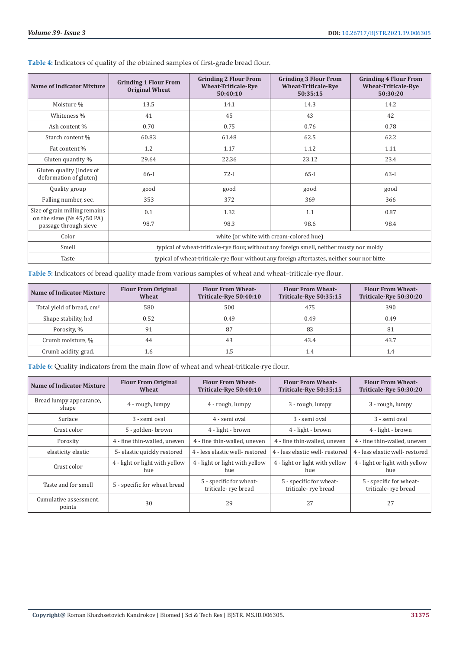| <b>Name of Indicator Mixture</b>                       | <b>Grinding 1 Flour From</b><br><b>Original Wheat</b>                                        | <b>Grinding 2 Flour From</b><br><b>Wheat-Triticale-Rye</b><br>50:40:10 | <b>Grinding 3 Flour From</b><br><b>Wheat-Triticale-Rye</b><br>50:35:15 | <b>Grinding 4 Flour From</b><br><b>Wheat-Triticale-Rye</b><br>50:30:20 |
|--------------------------------------------------------|----------------------------------------------------------------------------------------------|------------------------------------------------------------------------|------------------------------------------------------------------------|------------------------------------------------------------------------|
| Moisture %                                             | 13.5                                                                                         | 14.1                                                                   | 14.3                                                                   | 14.2                                                                   |
| Whiteness %                                            | 41                                                                                           | 45                                                                     | 43                                                                     | 42                                                                     |
| Ash content %                                          | 0.70                                                                                         | 0.75                                                                   | 0.76                                                                   | 0.78                                                                   |
| Starch content %                                       | 60.83                                                                                        | 61.48                                                                  | 62.5                                                                   | 62.2                                                                   |
| Fat content %                                          | 1.2                                                                                          | 1.17                                                                   | 1.12                                                                   | 1.11                                                                   |
| Gluten quantity %                                      | 29.64                                                                                        | 22.36                                                                  | 23.12                                                                  | 23.4                                                                   |
| Gluten quality (Index of<br>deformation of gluten)     | 66-I                                                                                         | $72-I$                                                                 | $65-I$                                                                 | $63-I$                                                                 |
| Quality group                                          | good                                                                                         | good                                                                   | good                                                                   | good                                                                   |
| Falling number, sec.                                   | 353                                                                                          | 372                                                                    | 369                                                                    | 366                                                                    |
| Size of grain milling remains                          | 0.1                                                                                          | 1.32                                                                   | 1.1                                                                    | 0.87                                                                   |
| on the sieve ( $N°$ 45/50 PA)<br>passage through sieve | 98.7                                                                                         | 98.3                                                                   | 98.6                                                                   | 98.4                                                                   |
| Color                                                  | white (or white with cream-colored hue)                                                      |                                                                        |                                                                        |                                                                        |
| Smell                                                  | typical of wheat-triticale-rye flour, without any foreign smell, neither musty nor moldy     |                                                                        |                                                                        |                                                                        |
| Taste                                                  | typical of wheat-triticale-rye flour without any foreign aftertastes, neither sour nor bitte |                                                                        |                                                                        |                                                                        |

**Table 4:** Indicators of quality of the obtained samples of first-grade bread flour.

**Table 5:** Indicators of bread quality made from various samples of wheat and wheat–triticale-rye flour.

| <b>Name of Indicator Mixture</b>      | <b>Flour From Original</b><br>Wheat | <b>Flour From Wheat-</b><br>Triticale-Rye 50:40:10 | <b>Flour From Wheat-</b><br>Triticale-Rye 50:35:15 | <b>Flour From Wheat-</b><br>Triticale-Rye 50:30:20 |
|---------------------------------------|-------------------------------------|----------------------------------------------------|----------------------------------------------------|----------------------------------------------------|
| Total yield of bread, cm <sup>3</sup> | 580                                 | 500                                                | 475                                                | 390                                                |
| Shape stability, h:d                  | 0.52                                | 0.49                                               | 0.49                                               | 0.49                                               |
| Porosity, %                           | 91                                  | 87                                                 | 83                                                 | 81                                                 |
| Crumb moisture, %                     | 44                                  | 43                                                 | 43.4                                               | 43.7                                               |
| Crumb acidity, grad.                  | 1.6                                 |                                                    | 1.4                                                |                                                    |

**Table 6:** Quality indicators from the main flow of wheat and wheat-triticale-rye flour.

| <b>Name of Indicator Mixture</b> | <b>Flour From Original</b><br>Wheat   | <b>Flour From Wheat-</b><br>Triticale-Rye 50:40:10 | <b>Flour From Wheat-</b><br>Triticale-Rye 50:35:15 | <b>Flour From Wheat-</b><br>Triticale-Rye 50:30:20 |
|----------------------------------|---------------------------------------|----------------------------------------------------|----------------------------------------------------|----------------------------------------------------|
| Bread lumpy appearance,<br>shape | 4 - rough, lumpy                      | 4 - rough, lumpy                                   | 3 - rough, lumpy                                   | 3 - rough, lumpy                                   |
| Surface                          | 3 - semi oval                         | 4 - semi oval                                      | 3 - semi oval                                      | 3 - semi oval                                      |
| Crust color                      | 5 - golden-brown                      | 4 - light - brown                                  | 4 - light - brown                                  | 4 - light - brown                                  |
| Porosity                         | 4 - fine thin-walled, uneven          | 4 - fine thin-walled, uneven                       | 4 - fine thin-walled, uneven                       | 4 - fine thin-walled, uneven                       |
| elasticity elastic               | 5- elastic quickly restored           | 4 - less elastic well- restored                    | 4 - less elastic well- restored                    | 4 - less elastic well- restored                    |
| Crust color                      | 4 - light or light with yellow<br>hue | 4 - light or light with yellow<br>hue              | 4 - light or light with yellow<br>hue              | 4 - light or light with yellow<br>hue              |
| Taste and for smell              | 5 - specific for wheat bread          | 5 - specific for wheat-<br>triticale-rye bread     | 5 - specific for wheat-<br>triticale-rye bread     | 5 - specific for wheat-<br>triticale-rye bread     |
| Cumulative assessment.<br>points | 30                                    | 29                                                 | 27                                                 | 27                                                 |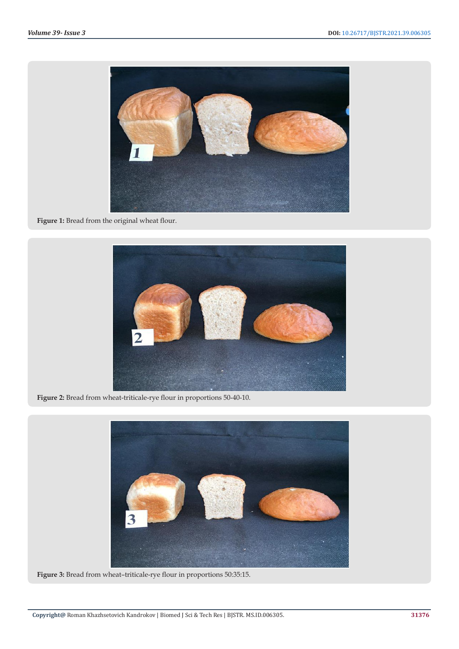

**Figure 1:** Bread from the original wheat flour.



**Figure 2:** Bread from wheat-triticale-rye flour in proportions 50-40-10.



**Figure 3:** Bread from wheat–triticale-rye flour in proportions 50:35:15.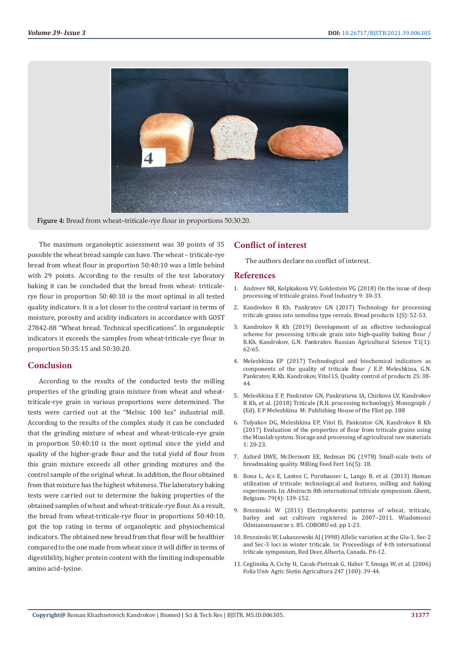

**Figure 4:** Bread from wheat–triticale-rye flour in proportions 50:30:20.

The maximum organoleptic assessment was 30 points of 35 possible the wheat bread sample can have. The wheat – triticale-rye bread from wheat flour in proportion 50:40:10 was a little behind with 29 points. According to the results of the test laboratory baking it can be concluded that the bread from wheat- triticalerye flour in proportion 50:40:10 is the most optimal in all tested quality indicators. It is a lot closer to the control variant in terms of moisture, porosity and acidity indicators in accordance with GOST 27842-88 "Wheat bread. Technical specifications". In organoleptic indicators it exceeds the samples from wheat-triticale-rye flour in proportion 50:35:15 and 50:30:20.

# **Conclusion**

According to the results of the conducted tests the milling properties of the grinding grain mixture from wheat and wheattriticale-rye grain in various proportions were determined. The tests were carried out at the "Melnic 100 lux" industrial mill. According to the results of the complex study it can be concluded that the grinding mixture of wheat and wheat-triticale-rye grain in proportion 50:40:10 is the most optimal since the yield and quality of the higher-grade flour and the total yield of flour from this grain mixture exceeds all other grinding mixtures and the control sample of the original wheat. In addition, the flour obtained from that mixture has the highest whiteness. The laboratory baking tests were carried out to determine the baking properties of the obtained samples of wheat and wheat-triticale-rye flour. As a result, the bread from wheat-triticale-rye flour in proportions 50:40:10, got the top rating in terms of organoleptic and physiochemical indicators. The obtained new bread from that flour will be healthier compared to the one made from wheat since it will differ in terms of digestibility, higher protein content with the limiting indispensable amino acid–lysine.

# **Conflict of interest**

The authors declare no conflict of interest.

#### **References**

- 1. Andreev NR, Kolpkakova VV, Goldestein VG (2018) On the issue of deep processing of triticale grains. Food Industry 9: 30-33.
- 2. Kandrokov R Kh, Pankratov GN (2017) Technology for processing triticale grains into semolina type cereals. Bread products 1(S): 52-53.
- 3. [Kandrokov R Kh \(2019\) Development of an effective technological](https://www.researchgate.net/publication/333462447_Development_of_an_efficient_technological_scheme_for_processing_graintriticale_in_bakery_flour) [scheme for processing triticale grain into high-quality baking flour /](https://www.researchgate.net/publication/333462447_Development_of_an_efficient_technological_scheme_for_processing_graintriticale_in_bakery_flour) [R.Kh. Kandrokov, G.N. Pankratov. Russian Agricultural Science T1\(1\):](https://www.researchgate.net/publication/333462447_Development_of_an_efficient_technological_scheme_for_processing_graintriticale_in_bakery_flour) [62-65.](https://www.researchgate.net/publication/333462447_Development_of_an_efficient_technological_scheme_for_processing_graintriticale_in_bakery_flour)
- 4. Meleshkina EP (2017) Technological and biochemical indicators as components of the quality of triticale flour / E.P. Meleshkina, G.N. Pankratov, R.Kh. Kandrokov, Vitol I.S. Quality control of products 2S: 38- 44.
- 5. Meleshkina E P, Pankratov GN, Pankratieva IA, Chirkova LV, Kandrokov R Kh, et al. (2018) Triticale (R.H. processing technology). Monograph / (Ed). E P Meleshkina M: Publishing House of the Flint pp. 188
- 6. Tulyakov DG, Meleshkina EP, Vitol IS, Pankratov GN, Kandrokov R Kh (2017) Evaluation of the properties of flour from triticale grains using the Mixolab system. Storage and processing of agricultural raw materials 1: 20-23.
- 7. [Axford DWE, McDermott EE, Redman DG \(1978\) Small-scale tests of](https://agris.fao.org/agris-search/search.do?recordID=US201302416230) [breadmaking quality. Milling Feed Fert 16\(5\): 18.](https://agris.fao.org/agris-search/search.do?recordID=US201302416230)
- 8. [Bona L, Acs E, Lantos C, Purnhauser L, Lango B, et al. \(2013\) Human](https://pubmed.ncbi.nlm.nih.gov/26072582/) [utilization of triticale: technological and features, milling and baking](https://pubmed.ncbi.nlm.nih.gov/26072582/) [experiments. In: Abstracts 8th international triticale symposium. Ghent,](https://pubmed.ncbi.nlm.nih.gov/26072582/) [Belgium: 79\(4\): 139-152.](https://pubmed.ncbi.nlm.nih.gov/26072582/)
- 9. Brzezinski W (2011) Electrophoretic patterns of wheat, triticale, barley and oat cultivars registered in 2007–2011. Wiadomosci Odmianoznawcze z. 85. COBORU ed. pp 1-23.
- 10. Brzezinski W, Lukaszewski AJ (1998) Allelic variation at the Glu-1, Sec-2 and Sec-3 loci in winter triticale. In: Proceedings of 4-th international triticale symposium, Red Deer, Alberta, Canada. P.6-12.
- 11. Ceglinska A, Cichy H, Cacak-Pietrzak G, Haber T, Smuga W, et al. (2006) Folia Univ Agric Stetin Agricultura 247 (100): 39-44.